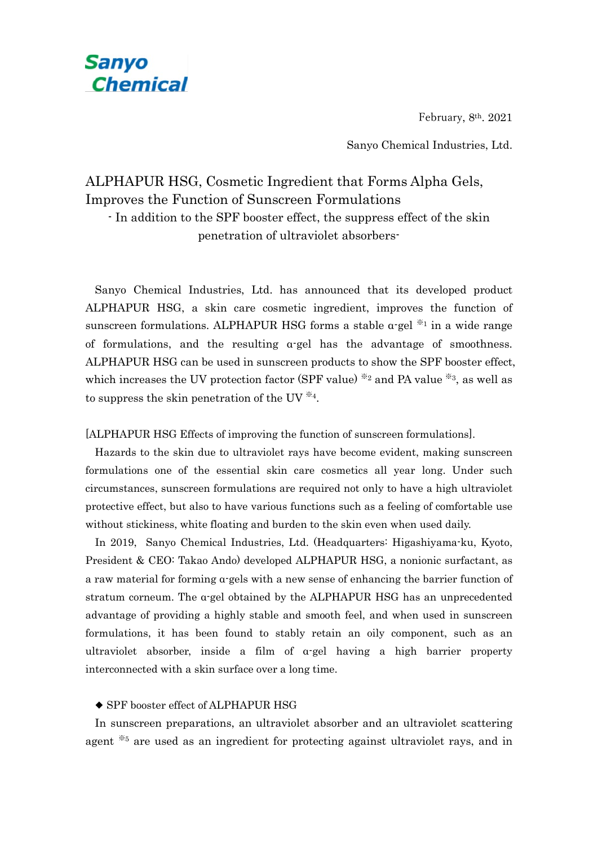

Sanyo Chemical Industries, Ltd.

#### ALPHAPUR HSG, Cosmetic Ingredient that Forms Alpha Gels, Improves the Function of Sunscreen Formulations

**Sanyo** 

**Chemical** 

- In addition to the SPF booster effect, the suppress effect of the skin penetration of ultraviolet absorbers-

Sanyo Chemical Industries, Ltd. has announced that its developed product ALPHAPUR HSG, a skin care cosmetic ingredient, improves the function of sunscreen formulations. ALPHAPUR HSG forms a stable  $\alpha$ -gel  $*$ <sup>1</sup> in a wide range of formulations, and the resulting  $\alpha$ -gel has the advantage of smoothness. ALPHAPUR HSG can be used in sunscreen products to show the SPF booster effect, which increases the UV protection factor (SPF value)  $\frac{1}{2}$  and PA value  $\frac{1}{2}$ , as well as to suppress the skin penetration of the UV  $^{*4}$ .

[ALPHAPUR HSG Effects of improving the function of sunscreen formulations].

Hazards to the skin due to ultraviolet rays have become evident, making sunscreen formulations one of the essential skin care cosmetics all year long. Under such circumstances, sunscreen formulations are required not only to have a high ultraviolet protective effect, but also to have various functions such as a feeling of comfortable use without stickiness, white floating and burden to the skin even when used daily.

In 2019, Sanyo Chemical Industries, Ltd. (Headquarters: Higashiyama-ku, Kyoto, President & CEO: Takao Ando) developed ALPHAPUR HSG, a nonionic surfactant, as a raw material for forming α-gels with a new sense of enhancing the barrier function of stratum corneum. The  $\alpha$ -gel obtained by the ALPHAPUR HSG has an unprecedented advantage of providing a highly stable and smooth feel, and when used in sunscreen formulations, it has been found to stably retain an oily component, such as an ultraviolet absorber, inside a film of α-gel having a high barrier property interconnected with a skin surface over a long time.

#### ◆ SPF booster effect of ALPHAPUR HSG

In sunscreen preparations, an ultraviolet absorber and an ultraviolet scattering agent ※<sup>5</sup> are used as an ingredient for protecting against ultraviolet rays, and in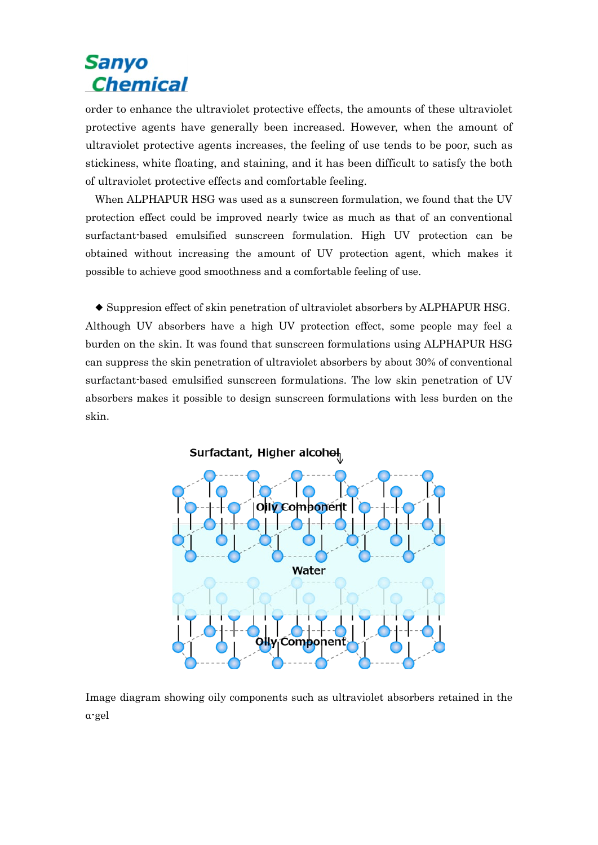# **Sanyo Chemical**

order to enhance the ultraviolet protective effects, the amounts of these ultraviolet protective agents have generally been increased. However, when the amount of ultraviolet protective agents increases, the feeling of use tends to be poor, such as stickiness, white floating, and staining, and it has been difficult to satisfy the both of ultraviolet protective effects and comfortable feeling.

When ALPHAPUR HSG was used as a sunscreen formulation, we found that the UV protection effect could be improved nearly twice as much as that of an conventional surfactant-based emulsified sunscreen formulation. High UV protection can be obtained without increasing the amount of UV protection agent, which makes it possible to achieve good smoothness and a comfortable feeling of use.

◆ Suppresion effect of skin penetration of ultraviolet absorbers by ALPHAPUR HSG. Although UV absorbers have a high UV protection effect, some people may feel a burden on the skin. It was found that sunscreen formulations using ALPHAPUR HSG can suppress the skin penetration of ultraviolet absorbers by about 30% of conventional surfactant-based emulsified sunscreen formulations. The low skin penetration of UV absorbers makes it possible to design sunscreen formulations with less burden on the skin.



Image diagram showing oily components such as ultraviolet absorbers retained in the α-gel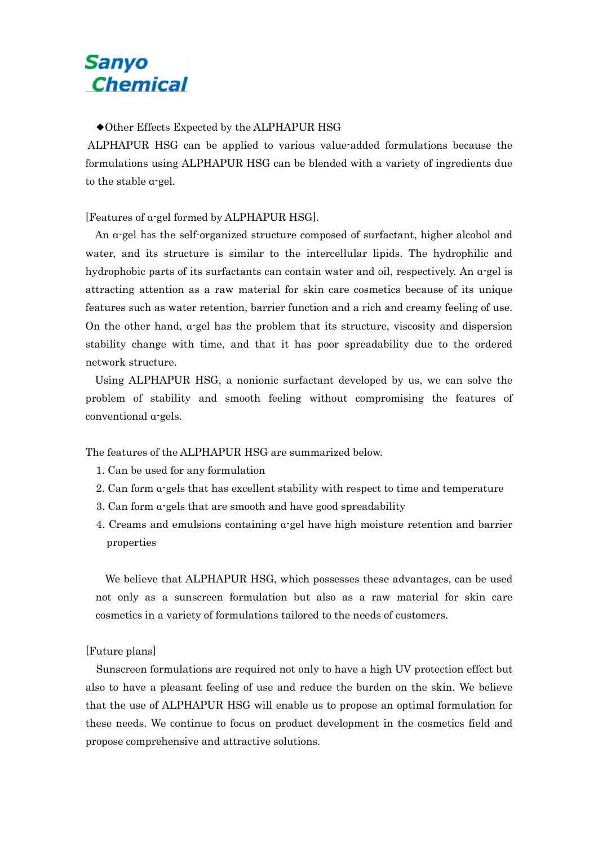## Sanyo **Chemical**

◆Other Effects Expected by the ALPHAPUR HSG

ALPHAPUR HSG can be applied to various value-added formulations because the formulations using ALPHAPUR HSG can be blended with a variety of ingredients due to the stable α-gel.

[Features of α-gel formed by ALPHAPUR HSG].

An α-gel has the self-organized structure composed of surfactant, higher alcohol and water, and its structure is similar to the intercellular lipids. The hydrophilic and hydrophobic parts of its surfactants can contain water and oil, respectively. An α-gel is attracting attention as a raw material for skin care cosmetics because of its unique features such as water retention, barrier function and a rich and creamy feeling of use. On the other hand, α-gel has the problem that its structure, viscosity and dispersion stability change with time, and that it has poor spreadability due to the ordered network structure.

Using ALPHAPUR HSG, a nonionic surfactant developed by us, we can solve the problem of stability and smooth feeling without compromising the features of conventional α-gels.

The features of the ALPHAPUR HSG are summarized below.

- 1. Can be used for any formulation
- 2. Can form  $\alpha$ -gels that has excellent stability with respect to time and temperature
- 3. Can form α-gels that are smooth and have good spreadability
- 4. Creams and emulsions containing α-gel have high moisture retention and barrier properties

We believe that ALPHAPUR HSG, which possesses these advantages, can be used not only as a sunscreen formulation but also as a raw material for skin care cosmetics in a variety of formulations tailored to the needs of customers.

#### [Future plans]

Sunscreen formulations are required not only to have a high UV protection effect but also to have a pleasant feeling of use and reduce the burden on the skin. We believe that the use of ALPHAPUR HSG will enable us to propose an optimal formulation for these needs. We continue to focus on product development in the cosmetics field and propose comprehensive and attractive solutions.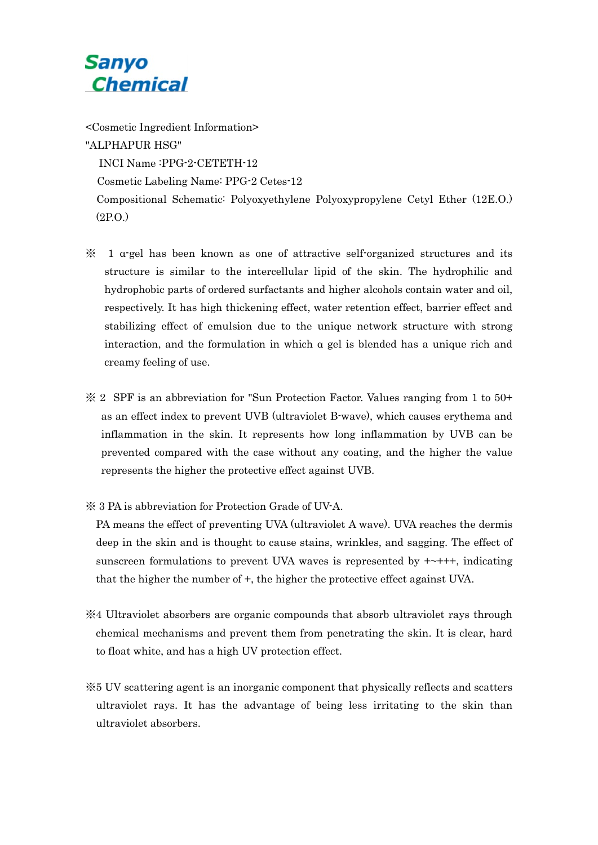## **Sanyo Chemical**

<Cosmetic Ingredient Information> "ALPHAPUR HSG" INCI Name :PPG-2-CETETH-12 Cosmetic Labeling Name: PPG-2 Cetes-12 Compositional Schematic: Polyoxyethylene Polyoxypropylene Cetyl Ether (12E.O.) (2P.O.)

- $\mathcal X$  1 a-gel has been known as one of attractive self-organized structures and its structure is similar to the intercellular lipid of the skin. The hydrophilic and hydrophobic parts of ordered surfactants and higher alcohols contain water and oil, respectively. It has high thickening effect, water retention effect, barrier effect and stabilizing effect of emulsion due to the unique network structure with strong interaction, and the formulation in which  $\alpha$  gel is blended has a unique rich and creamy feeling of use.
- ※ 2 SPF is an abbreviation for "Sun Protection Factor. Values ranging from 1 to 50+ as an effect index to prevent UVB (ultraviolet B-wave), which causes erythema and inflammation in the skin. It represents how long inflammation by UVB can be prevented compared with the case without any coating, and the higher the value represents the higher the protective effect against UVB.
- ※ 3 PA is abbreviation for Protection Grade of UV-A.

PA means the effect of preventing UVA (ultraviolet A wave). UVA reaches the dermis deep in the skin and is thought to cause stains, wrinkles, and sagging. The effect of sunscreen formulations to prevent UVA waves is represented by  $+\rightarrow$ +++, indicating that the higher the number of +, the higher the protective effect against UVA.

- ※4 Ultraviolet absorbers are organic compounds that absorb ultraviolet rays through chemical mechanisms and prevent them from penetrating the skin. It is clear, hard to float white, and has a high UV protection effect.
- ※5 UV scattering agent is an inorganic component that physically reflects and scatters ultraviolet rays. It has the advantage of being less irritating to the skin than ultraviolet absorbers.